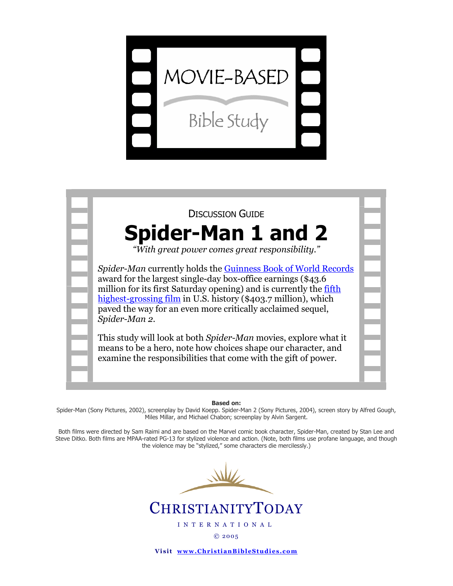



Based on:

Spider-Man (Sony Pictures, 2002), screenplay by David Koepp. Spider-Man 2 (Sony Pictures, 2004), screen story by Alfred Gough, Miles Millar, and Michael Chabon; screenplay by Alvin Sargent.

Both films were directed by Sam Raimi and are based on the Marvel comic book character, Spider-Man, created by Stan Lee and Steve Ditko. Both films are MPAA-rated PG-13 for stylized violence and action. (Note, both films use profane language, and though the violence may be "stylized," some characters die mercilessly.)

# **CHRISTIANITYTODAY**

I N T E R N A T I O N A L

© 20 05

Visit www.ChristianBibleStudies.com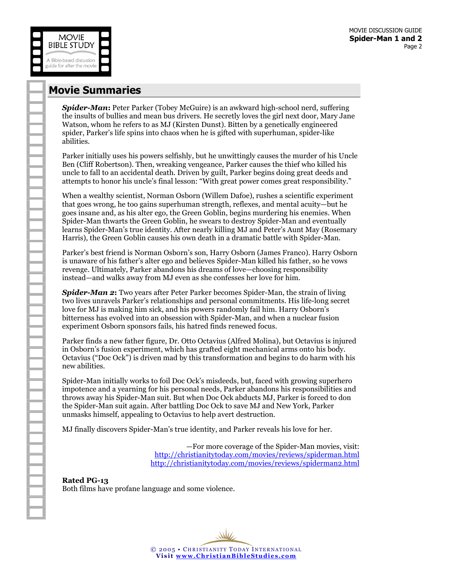

### Movie Summaries

**Spider-Man:** Peter Parker (Tobey McGuire) is an awkward high-school nerd, suffering the insults of bullies and mean bus drivers. He secretly loves the girl next door, Mary Jane Watson, whom he refers to as MJ (Kirsten Dunst). Bitten by a genetically engineered spider, Parker's life spins into chaos when he is gifted with superhuman, spider-like abilities.

Parker initially uses his powers selfishly, but he unwittingly causes the murder of his Uncle Ben (Cliff Robertson). Then, wreaking vengeance, Parker causes the thief who killed his uncle to fall to an accidental death. Driven by guilt, Parker begins doing great deeds and attempts to honor his uncle's final lesson: "With great power comes great responsibility."

When a wealthy scientist, Norman Osborn (Willem Dafoe), rushes a scientific experiment that goes wrong, he too gains superhuman strength, reflexes, and mental acuity—but he goes insane and, as his alter ego, the Green Goblin, begins murdering his enemies. When Spider-Man thwarts the Green Goblin, he swears to destroy Spider-Man and eventually learns Spider-Man's true identity. After nearly killing MJ and Peter's Aunt May (Rosemary Harris), the Green Goblin causes his own death in a dramatic battle with Spider-Man.

Parker's best friend is Norman Osborn's son, Harry Osborn (James Franco). Harry Osborn is unaware of his father's alter ego and believes Spider-Man killed his father, so he vows revenge. Ultimately, Parker abandons his dreams of love—choosing responsibility instead—and walks away from MJ even as she confesses her love for him.

**Spider-Man 2:** Two years after Peter Parker becomes Spider-Man, the strain of living two lives unravels Parker's relationships and personal commitments. His life-long secret love for MJ is making him sick, and his powers randomly fail him. Harry Osborn's bitterness has evolved into an obsession with Spider-Man, and when a nuclear fusion experiment Osborn sponsors fails, his hatred finds renewed focus.

Parker finds a new father figure, Dr. Otto Octavius (Alfred Molina), but Octavius is injured in Osborn's fusion experiment, which has grafted eight mechanical arms onto his body. Octavius ("Doc Ock") is driven mad by this transformation and begins to do harm with his new abilities.

Spider-Man initially works to foil Doc Ock's misdeeds, but, faced with growing superhero impotence and a yearning for his personal needs, Parker abandons his responsibilities and throws away his Spider-Man suit. But when Doc Ock abducts MJ, Parker is forced to don the Spider-Man suit again. After battling Doc Ock to save MJ and New York, Parker unmasks himself, appealing to Octavius to help avert destruction.

MJ finally discovers Spider-Man's true identity, and Parker reveals his love for her.

—For more coverage of the Spider-Man movies, visit: http://christianitytoday.com/movies/reviews/spiderman.html [http://christianitytoday.com/movies/reviews/spiderman2.html](http://christianitytoday.com/movies/reviews/spiderman.html)

Rated PG-13 Both films have profane language and some violence.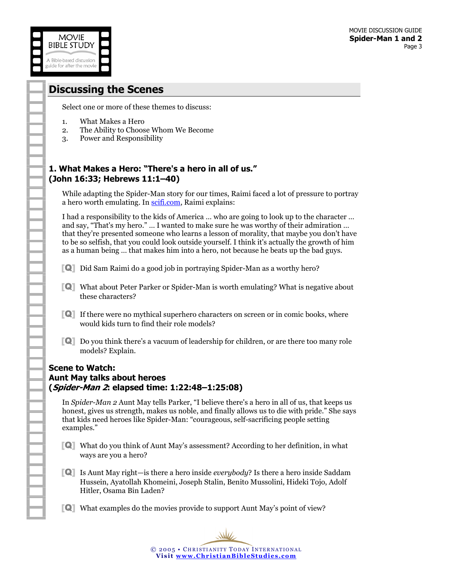## Discussing the Scenes

**MOVIE BIBLE STUDY** 

A Bible-based discussion guide for after the movie

Select one or more of these themes to discuss:

- 1. What Makes a Hero
- 2. The Ability to Choose Whom We Become
- 3. Power and Responsibility

#### 1. What Makes a Hero: "There's a hero in all of us." (John 16:33; Hebrews 11:1–40)

While adapting the Spider-Man story for our times, Raimi faced a lot of pressure to portray a hero worth emulating. In [scifi.com,](http://www.scifi.com/sfw/issue263/interview.html) Raimi explains:

I had a responsibility to the kids of America … who are going to look up to the character … and say, "That's my hero." … I wanted to make sure he was worthy of their admiration … that they're presented someone who learns a lesson of morality, that maybe you don't have to be so selfish, that you could look outside yourself. I think it's actually the growth of him as a human being … that makes him into a hero, not because he beats up the bad guys.

- [Q] Did Sam Raimi do a good job in portraying Spider-Man as a worthy hero?
- [Q] What about Peter Parker or Spider-Man is worth emulating? What is negative about these characters?
- [Q] If there were no mythical superhero characters on screen or in comic books, where would kids turn to find their role models?
- [Q] Do you think there's a vacuum of leadership for children, or are there too many role models? Explain.

#### Scene to Watch: Aunt May talks about heroes (Spider-Man 2: elapsed time: 1:22:48–1:25:08)

In Spider-Man 2 Aunt May tells Parker, "I believe there's a hero in all of us, that keeps us honest, gives us strength, makes us noble, and finally allows us to die with pride." She says that kids need heroes like Spider-Man: "courageous, self-sacrificing people setting examples."

- [Q] What do you think of Aunt May's assessment? According to her definition, in what ways are you a hero?
- [Q] Is Aunt May right—is there a hero inside everybody? Is there a hero inside Saddam Hussein, Ayatollah Khomeini, Joseph Stalin, Benito Mussolini, Hideki Tojo, Adolf Hitler, Osama Bin Laden?
- [Q] What examples do the movies provide to support Aunt May's point of view?

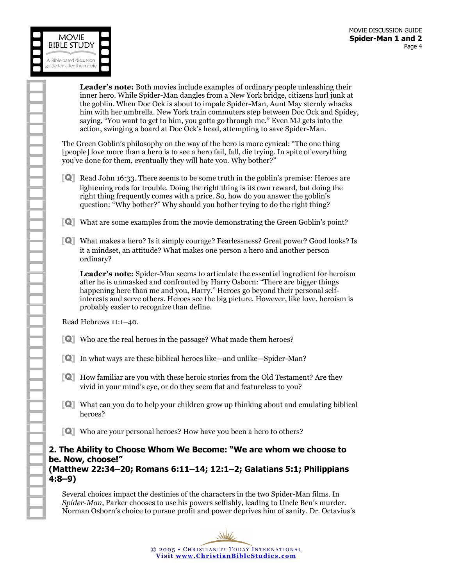

Leader's note: Both movies include examples of ordinary people unleashing their inner hero. While Spider-Man dangles from a New York bridge, citizens hurl junk at the goblin. When Doc Ock is about to impale Spider-Man, Aunt May sternly whacks him with her umbrella. New York train commuters step between Doc Ock and Spidey, saying, "You want to get to him, you gotta go through me." Even MJ gets into the action, swinging a board at Doc Ock's head, attempting to save Spider-Man.

The Green Goblin's philosophy on the way of the hero is more cynical: "The one thing [people] love more than a hero is to see a hero fail, fall, die trying. In spite of everything you've done for them, eventually they will hate you. Why bother?"

- [Q] Read John 16:33. There seems to be some truth in the goblin's premise: Heroes are lightening rods for trouble. Doing the right thing is its own reward, but doing the right thing frequently comes with a price. So, how do you answer the goblin's question: "Why bother?" Why should you bother trying to do the right thing?
- [Q] What are some examples from the movie demonstrating the Green Goblin's point?
- [Q] What makes a hero? Is it simply courage? Fearlessness? Great power? Good looks? Is it a mindset, an attitude? What makes one person a hero and another person ordinary?

 Leader's note: Spider-Man seems to articulate the essential ingredient for heroism after he is unmasked and confronted by Harry Osborn: "There are bigger things happening here than me and you, Harry." Heroes go beyond their personal selfinterests and serve others. Heroes see the big picture. However, like love, heroism is probably easier to recognize than define.

Read Hebrews 11:1–40.

- [Q] Who are the real heroes in the passage? What made them heroes?
- [Q] In what ways are these biblical heroes like—and unlike—Spider-Man?
- [Q] How familiar are you with these heroic stories from the Old Testament? Are they vivid in your mind's eye, or do they seem flat and featureless to you?
- [Q] What can you do to help your children grow up thinking about and emulating biblical heroes?
- [Q] Who are your personal heroes? How have you been a hero to others?

2. The Ability to Choose Whom We Become: "We are whom we choose to be. Now, choose!" (Matthew 22:34–20; Romans 6:11–14; 12:1–2; Galatians 5:1; Philippians 4:8–9)

Several choices impact the destinies of the characters in the two Spider-Man films. In Spider-Man, Parker chooses to use his powers selfishly, leading to Uncle Ben's murder. Norman Osborn's choice to pursue profit and power deprives him of sanity. Dr. Octavius's

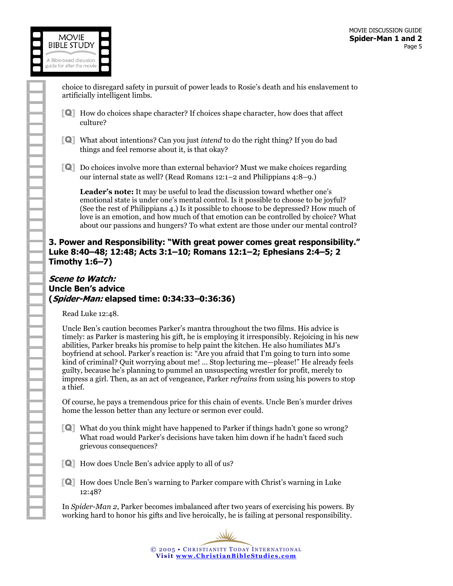

choice to disregard safety in pursuit of power leads to Rosie's death and his enslavement to artificially intelligent limbs.

- [Q] How do choices shape character? If choices shape character, how does that affect culture?
- [Q] What about intentions? Can you just intend to do the right thing? If you do bad things and feel remorse about it, is that okay?
- [Q] Do choices involve more than external behavior? Must we make choices regarding our internal state as well? (Read Romans 12:1–2 and Philippians 4:8–9.)

Leader's note: It may be useful to lead the discussion toward whether one's emotional state is under one's mental control. Is it possible to choose to be joyful? (See the rest of Philippians 4.) Is it possible to choose to be depressed? How much of love is an emotion, and how much of that emotion can be controlled by choice? What about our passions and hungers? To what extent are those under our mental control?

#### 3. Power and Responsibility: "With great power comes great responsibility." Luke 8:40–48; 12:48; Acts 3:1–10; Romans 12:1–2; Ephesians 2:4–5; 2 Timothy 1:6–7)

#### Scene to Watch: Uncle Ben's advice (Spider-Man: elapsed time: 0:34:33–0:36:36)

Read Luke 12:48.

Uncle Ben's caution becomes Parker's mantra throughout the two films. His advice is timely: as Parker is mastering his gift, he is employing it irresponsibly. Rejoicing in his new abilities, Parker breaks his promise to help paint the kitchen. He also humiliates MJ's boyfriend at school. Parker's reaction is: "Are you afraid that I'm going to turn into some kind of criminal? Quit worrying about me! … Stop lecturing me—please!" He already feels guilty, because he's planning to pummel an unsuspecting wrestler for profit, merely to impress a girl. Then, as an act of vengeance, Parker refrains from using his powers to stop a thief.

Of course, he pays a tremendous price for this chain of events. Uncle Ben's murder drives home the lesson better than any lecture or sermon ever could.

- [Q] What do you think might have happened to Parker if things hadn't gone so wrong? What road would Parker's decisions have taken him down if he hadn't faced such grievous consequences?
- [Q] How does Uncle Ben's advice apply to all of us?
- [Q] How does Uncle Ben's warning to Parker compare with Christ's warning in Luke 12:48?

In Spider-Man 2, Parker becomes imbalanced after two years of exercising his powers. By working hard to honor his gifts and live heroically, he is failing at personal responsibility.

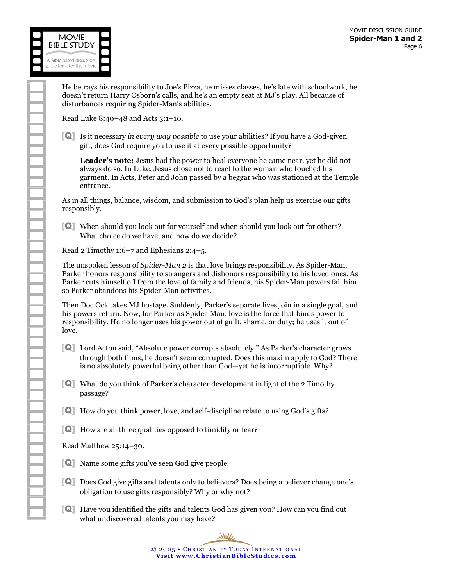

He betrays his responsibility to Joe's Pizza, he misses classes, he's late with schoolwork, he doesn't return Harry Osborn's calls, and he's an empty seat at MJ's play. All because of disturbances requiring Spider-Man's abilities.

Read Luke 8:40–48 and Acts 3:1–10.

[Q] Is it necessary in every way possible to use your abilities? If you have a God-given gift, does God require you to use it at every possible opportunity?

Leader's note: Jesus had the power to heal everyone he came near, yet he did not always do so. In Luke, Jesus chose not to react to the woman who touched his garment. In Acts, Peter and John passed by a beggar who was stationed at the Temple entrance.

As in all things, balance, wisdom, and submission to God's plan help us exercise our gifts responsibly.

[Q] When should you look out for yourself and when should you look out for others? What choice do we have, and how do we decide?

Read 2 Timothy 1:6–7 and Ephesians 2:4–5.

The unspoken lesson of *Spider-Man 2* is that love brings responsibility. As Spider-Man, Parker honors responsibility to strangers and dishonors responsibility to his loved ones. As Parker cuts himself off from the love of family and friends, his Spider-Man powers fail him so Parker abandons his Spider-Man activities.

Then Doc Ock takes MJ hostage. Suddenly, Parker's separate lives join in a single goal, and his powers return. Now, for Parker as Spider-Man, love is the force that binds power to responsibility. He no longer uses his power out of guilt, shame, or duty; he uses it out of love.

- [Q] Lord Acton said, "Absolute power corrupts absolutely." As Parker's character grows through both films, he doesn't seem corrupted. Does this maxim apply to God? There is no absolutely powerful being other than God—yet he is incorruptible. Why?
- [Q] What do you think of Parker's character development in light of the 2 Timothy passage?
- [Q] How do you think power, love, and self-discipline relate to using God's gifts?
- [Q] How are all three qualities opposed to timidity or fear?

Read Matthew 25:14–30.

- [Q] Name some gifts you've seen God give people.
- [Q] Does God give gifts and talents only to believers? Does being a believer change one's obligation to use gifts responsibly? Why or why not?
- [Q] Have you identified the gifts and talents God has given you? How can you find out what undiscovered talents you may have?